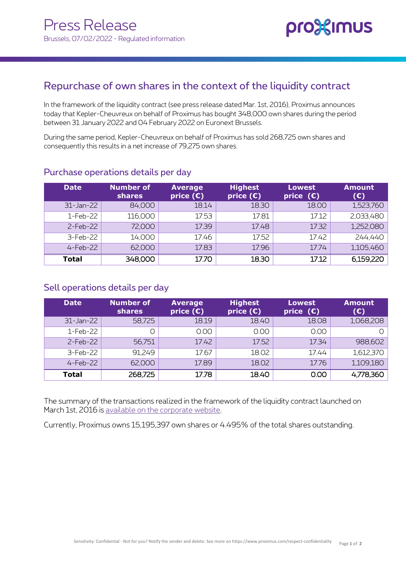

## Repurchase of own shares in the context of the liquidity contract

In the framework of the liquidity contract (see press release dated Mar. 1st, 2016), Proximus announces today that Kepler-Cheuvreux on behalf of Proximus has bought 348,000 own shares during the period between 31 January 2022 and 04 February 2022 on Euronext Brussels.

During the same period, Kepler-Cheuvreux on behalf of Proximus has sold 268,725 own shares and consequently this results in a net increase of 79,275 own shares.

| <b>Date</b>  | <b>Number of</b><br>shares | <b>Average</b><br>price $(\epsilon)$ | <b>Highest</b><br>price $(\epsilon)$ | <b>Lowest</b><br>price $(E)$ | <b>Amount</b><br>(E) |
|--------------|----------------------------|--------------------------------------|--------------------------------------|------------------------------|----------------------|
| 31-Jan-22    | 84,000                     | 18.14                                | 18.30                                | 18.00                        | 1,523,760            |
| 1-Feb-22     | 116,000                    | 17.53                                | 17.81                                | 17.12                        | 2,033,480            |
| $2$ -Feb-22  | 72,000                     | 17.39                                | 17.48                                | 17.32                        | 1,252,080            |
| 3-Feb-22     | 14,000                     | 17.46                                | 17.52                                | 17.42                        | 244,440              |
| $4-Feb-22$   | 62,000                     | 17.83                                | 17.96                                | 17.74                        | 1,105,460            |
| <b>Total</b> | 348,000                    | 17.70                                | 18.30                                | 17.12                        | 6,159,220            |

### Purchase operations details per day

### Sell operations details per day

| <b>Date</b>  | <b>Number of</b><br><b>shares</b> | <b>Average</b><br>price $(E)$ | <b>Highest</b><br>price $(E)$ | <b>Lowest</b><br>price $(E)$ | <b>Amount</b><br>$(\epsilon)$ |
|--------------|-----------------------------------|-------------------------------|-------------------------------|------------------------------|-------------------------------|
| 31-Jan-22    | 58,725                            | 18.19                         | 18.40                         | 18.08                        | 1,068,208                     |
| 1-Feb-22     |                                   | 0.00                          | 0.00                          | 0.00                         |                               |
| $2$ -Feb-22  | 56,751                            | 17.42                         | 17.52                         | 17.34                        | 988,602                       |
| 3-Feb-22     | 91,249                            | 17.67                         | 18.02                         | 17.44                        | 1,612,370                     |
| $4$ -Feb-22  | 62,000                            | 17.89                         | 18.02                         | 17.76                        | 1,109,180                     |
| <b>Total</b> | 268,725                           | 17.78                         | 18.40                         | 0.00                         | 4,778,360                     |

The summary of the transactions realized in the framework of the liquidity contract launched on March 1st, 2016 is [available on the corporate website.](https://www.proximus.com/en/investors/proximus-share#title-5)

Currently, Proximus owns 15,195,397 own shares or 4.495% of the total shares outstanding.